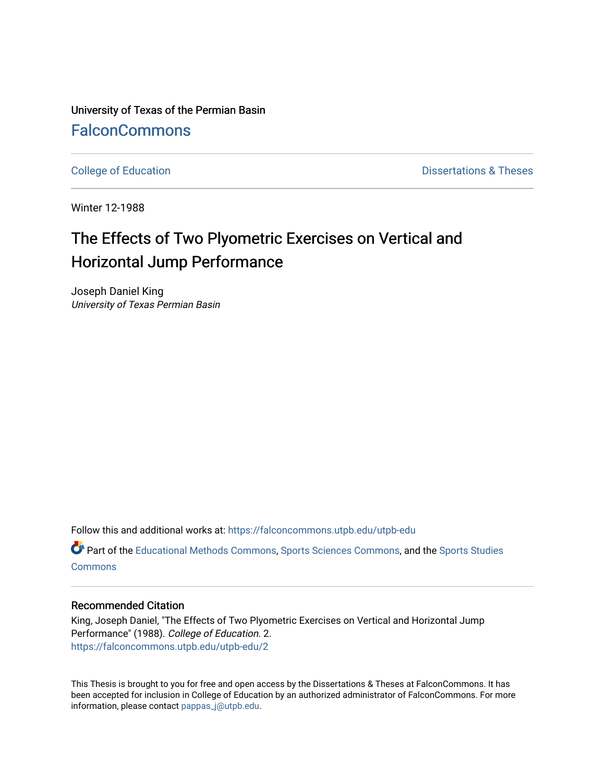University of Texas of the Permian Basin [FalconCommons](https://falconcommons.utpb.edu/)

[College of Education](https://falconcommons.utpb.edu/utpb-edu) **Dissertations & Theses** 

Winter 12-1988

# The Effects of Two Plyometric Exercises on Vertical and Horizontal Jump Performance

Joseph Daniel King University of Texas Permian Basin

Follow this and additional works at: [https://falconcommons.utpb.edu/utpb-edu](https://falconcommons.utpb.edu/utpb-edu?utm_source=falconcommons.utpb.edu%2Futpb-edu%2F2&utm_medium=PDF&utm_campaign=PDFCoverPages) 

Part of the [Educational Methods Commons,](http://network.bepress.com/hgg/discipline/1227?utm_source=falconcommons.utpb.edu%2Futpb-edu%2F2&utm_medium=PDF&utm_campaign=PDFCoverPages) [Sports Sciences Commons,](http://network.bepress.com/hgg/discipline/759?utm_source=falconcommons.utpb.edu%2Futpb-edu%2F2&utm_medium=PDF&utm_campaign=PDFCoverPages) and the [Sports Studies](http://network.bepress.com/hgg/discipline/1198?utm_source=falconcommons.utpb.edu%2Futpb-edu%2F2&utm_medium=PDF&utm_campaign=PDFCoverPages)  **[Commons](http://network.bepress.com/hgg/discipline/1198?utm_source=falconcommons.utpb.edu%2Futpb-edu%2F2&utm_medium=PDF&utm_campaign=PDFCoverPages)** 

#### Recommended Citation

King, Joseph Daniel, "The Effects of Two Plyometric Exercises on Vertical and Horizontal Jump Performance" (1988). College of Education. 2. [https://falconcommons.utpb.edu/utpb-edu/2](https://falconcommons.utpb.edu/utpb-edu/2?utm_source=falconcommons.utpb.edu%2Futpb-edu%2F2&utm_medium=PDF&utm_campaign=PDFCoverPages) 

This Thesis is brought to you for free and open access by the Dissertations & Theses at FalconCommons. It has been accepted for inclusion in College of Education by an authorized administrator of FalconCommons. For more information, please contact [pappas\\_j@utpb.edu.](mailto:pappas_j@utpb.edu)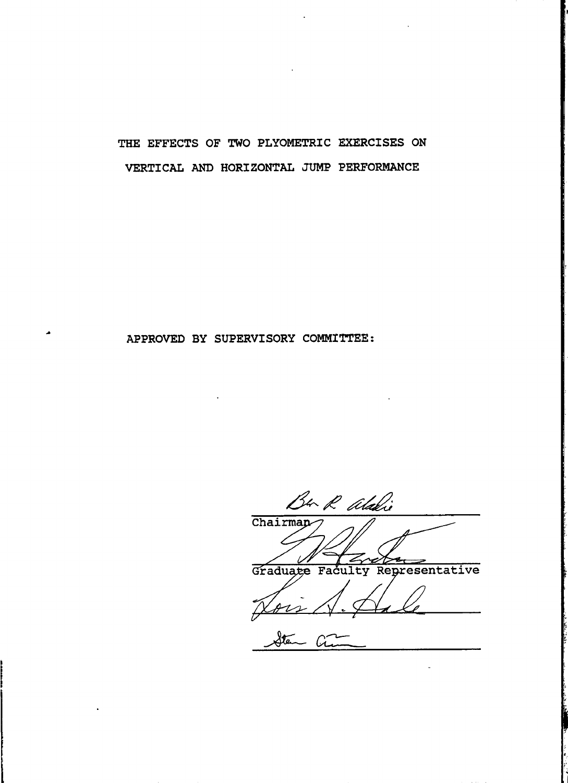## **the effects of two plyometric exercises on VERTICAL AND HORIZONTAL JUMP PERFORMANCE**

### **APPROVED BY SUPERVISORY COMMITTEE;**

Ban R alaki Chairmap Graduate Faculty Representative Sten Ci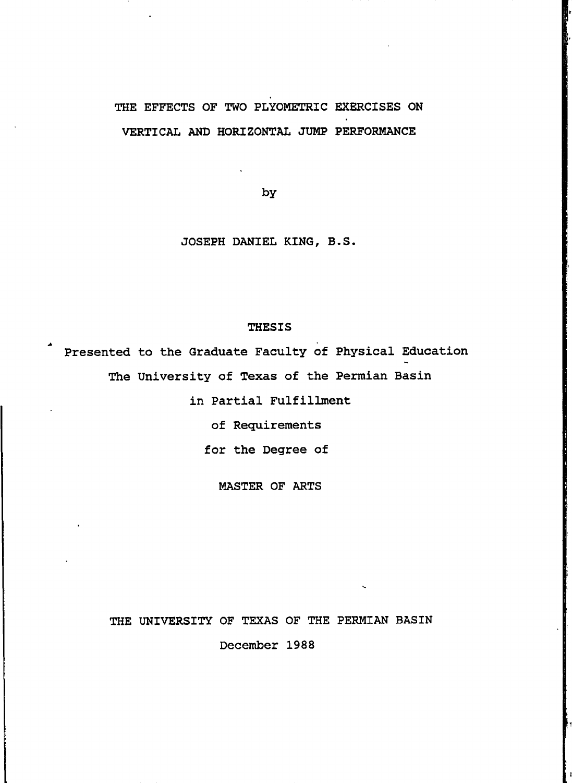### **the effects of two plyometric exercises on VERTICAL AND HORIZONTAL JUMP PERFORMANCE**

**by**

#### **JOSEPH DANIEL KING, B.S.**

**THESIS**

**Presented to the Graduate Faculty of Physical Education The University of Texas of the Permian Basin**

**in Partial Fulfillment**

**of Requirements**

**for the Degree of**

**MASTER OF ARTS**

**THE UNIVERSITY OF TEXAS OF THE PERMIAN BASIN**

**December 1988**